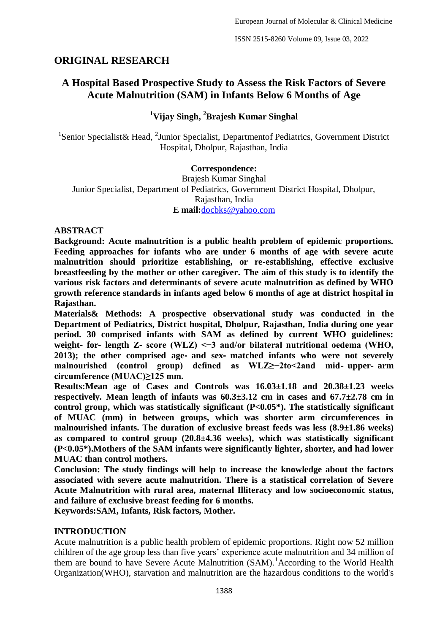# **ORIGINAL RESEARCH**

# **A Hospital Based Prospective Study to Assess the Risk Factors of Severe Acute Malnutrition (SAM) in Infants Below 6 Months of Age**

## **<sup>1</sup>Vijay Singh, <sup>2</sup>Brajesh Kumar Singhal**

<sup>1</sup>Senior Specialist& Head, <sup>2</sup>Junior Specialist, Departmentof Pediatrics, Government District Hospital, Dholpur, Rajasthan, India

#### **Correspondence:**

Brajesh Kumar Singhal Junior Specialist, Department of Pediatrics, Government District Hospital, Dholpur, Rajasthan, India **E mail:**[docbks@yahoo.com](mailto:docbks@yahoo.com)

#### **ABSTRACT**

**Background: Acute malnutrition is a public health problem of epidemic proportions. Feeding approaches for infants who are under 6 months of age with severe acute malnutrition should prioritize establishing, or re-establishing, effective exclusive breastfeeding by the mother or other caregiver. The aim of this study is to identify the various risk factors and determinants of severe acute malnutrition as defined by WHO growth reference standards in infants aged below 6 months of age at district hospital in Rajasthan.**

**Materials& Methods: A prospective observational study was conducted in the Department of Pediatrics, District hospital, Dholpur, Rajasthan, India during one year period. 30 comprised infants with SAM as defined by current WHO guidelines: weight**‐ **for**‐ **length Z**‐ **score (WLZ) <−3 and/or bilateral nutritional oedema (WHO, 2013); the other comprised age**‐ **and sex**‐ **matched infants who were not severely malnourished (control group) defined as WLZ≥−2to<2and mid**‐ **upper**‐ **arm circumference (MUAC)≥125 mm.**

**Results:Mean age of Cases and Controls was 16.03±1.18 and 20.38±1.23 weeks respectively. Mean length of infants was 60.3±3.12 cm in cases and 67.7±2.78 cm in control group, which was statistically significant (P<0.05\*). The statistically significant of MUAC (mm) in between groups, which was shorter arm circumferences in malnourished infants. The duration of exclusive breast feeds was less (8.9±1.86 weeks) as compared to control group (20.8±4.36 weeks), which was statistically significant (P<0.05\*).Mothers of the SAM infants were significantly lighter, shorter, and had lower MUAC than control mothers.**

**Conclusion: The study findings will help to increase the knowledge about the factors associated with severe acute malnutrition. There is a statistical correlation of Severe Acute Malnutrition with rural area, maternal Illiteracy and low socioeconomic status, and failure of exclusive breast feeding for 6 months.**

**Keywords:SAM, Infants, Risk factors, Mother.**

## **INTRODUCTION**

Acute malnutrition is a public health problem of epidemic proportions. Right now 52 million children of the age group less than five years' experience acute malnutrition and 34 million of them are bound to have Severe Acute Malnutrition  $(SAM)$ .<sup>1</sup> According to the World Health Organization(WHO), starvation and malnutrition are the hazardous conditions to the world's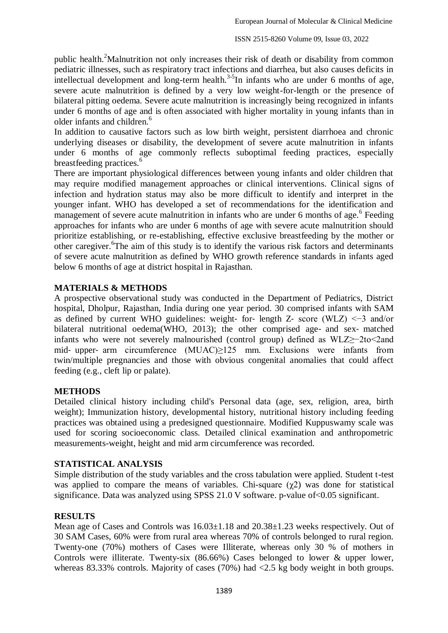public health.<sup>2</sup>Malnutrition not only increases their risk of death or disability from common pediatric illnesses, such as respiratory tract infections and diarrhea, but also causes deficits in intellectual development and long-term health.<sup>3-5</sup>In infants who are under 6 months of age, severe acute malnutrition is defined by a very low weight-for-length or the presence of bilateral pitting oedema. Severe acute malnutrition is increasingly being recognized in infants under 6 months of age and is often associated with higher mortality in young infants than in older infants and children.<sup>6</sup>

In addition to causative factors such as low birth weight, persistent diarrhoea and chronic underlying diseases or disability, the development of severe acute malnutrition in infants under 6 months of age commonly reflects suboptimal feeding practices, especially breastfeeding practices.<sup>6</sup>

There are important physiological differences between young infants and older children that may require modified management approaches or clinical interventions. Clinical signs of infection and hydration status may also be more difficult to identify and interpret in the younger infant. WHO has developed a set of recommendations for the identification and management of severe acute malnutrition in infants who are under  $6$  months of age.<sup>6</sup> Feeding approaches for infants who are under 6 months of age with severe acute malnutrition should prioritize establishing, or re-establishing, effective exclusive breastfeeding by the mother or other caregiver. <sup>6</sup>The aim of this study is to identify the various risk factors and determinants of severe acute malnutrition as defined by WHO growth reference standards in infants aged below 6 months of age at district hospital in Rajasthan.

### **MATERIALS & METHODS**

A prospective observational study was conducted in the Department of Pediatrics, District hospital, Dholpur, Rajasthan, India during one year period. 30 comprised infants with SAM as defined by current WHO guidelines: weight- for-length Z- score (WLZ)  $\leq$ -3 and/or bilateral nutritional oedema(WHO, 2013); the other comprised age- and sex- matched infants who were not severely malnourished (control group) defined as WLZ≥−2to<2and mid- upper- arm circumference (MUAC)>125 mm. Exclusions were infants from twin/multiple pregnancies and those with obvious congenital anomalies that could affect feeding (e.g., cleft lip or palate).

#### **METHODS**

Detailed clinical history including child's Personal data (age, sex, religion, area, birth weight); Immunization history, developmental history, nutritional history including feeding practices was obtained using a predesigned questionnaire. Modified Kuppuswamy scale was used for scoring socioeconomic class. Detailed clinical examination and anthropometric measurements-weight, height and mid arm circumference was recorded.

#### **STATISTICAL ANALYSIS**

Simple distribution of the study variables and the cross tabulation were applied. Student t-test was applied to compare the means of variables. Chi-square  $(\gamma 2)$  was done for statistical significance. Data was analyzed using SPSS 21.0 V software. p-value of < 0.05 significant.

## **RESULTS**

Mean age of Cases and Controls was  $16.03 \pm 1.18$  and  $20.38 \pm 1.23$  weeks respectively. Out of 30 SAM Cases, 60% were from rural area whereas 70% of controls belonged to rural region. Twenty-one (70%) mothers of Cases were Illiterate, whereas only 30 % of mothers in Controls were illiterate. Twenty-six (86.66%) Cases belonged to lower & upper lower, whereas 83.33% controls. Majority of cases (70%) had <2.5 kg body weight in both groups.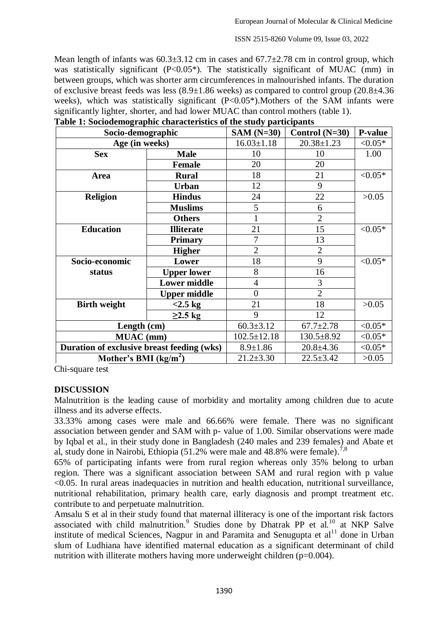ISSN 2515-8260 Volume 09, Issue 03, 2022

Mean length of infants was  $60.3\pm3.12$  cm in cases and  $67.7\pm2.78$  cm in control group, which was statistically significant (P<0.05\*). The statistically significant of MUAC (mm) in between groups, which was shorter arm circumferences in malnourished infants. The duration of exclusive breast feeds was less (8.9±1.86 weeks) as compared to control group (20.8±4.36 weeks), which was statistically significant (P<0.05<sup>\*</sup>). Mothers of the SAM infants were significantly lighter, shorter, and had lower MUAC than control mothers (table 1).

| Socio-demographic                          |                     | $SAM(N=30)$       | Control $(N=30)$ | <b>P-value</b> |
|--------------------------------------------|---------------------|-------------------|------------------|----------------|
| Age (in weeks)                             |                     | $16.03 \pm 1.18$  | $20.38 \pm 1.23$ | $< 0.05*$      |
| <b>Sex</b>                                 | <b>Male</b>         | 10                | 10               | 1.00           |
|                                            | <b>Female</b>       | 20                | 20               |                |
| Area                                       | <b>Rural</b>        | 18                | 21               | $< 0.05*$      |
|                                            | <b>Urban</b>        | 12                | 9                |                |
| <b>Religion</b>                            | <b>Hindus</b>       | 24                | 22               | >0.05          |
|                                            | <b>Muslims</b>      | 5                 | 6                |                |
|                                            | <b>Others</b>       | 1                 | $\overline{2}$   |                |
| <b>Education</b>                           | <b>Illiterate</b>   | 21                | 15               | $< 0.05*$      |
|                                            | <b>Primary</b>      | 7                 | 13               |                |
|                                            | <b>Higher</b>       | $\overline{2}$    | $\overline{2}$   |                |
| Socio-economic                             | Lower               | 18                | 9                | $< 0.05*$      |
| status                                     | <b>Upper lower</b>  | 8                 | 16               |                |
|                                            | <b>Lower middle</b> | $\overline{4}$    | 3                |                |
|                                            | <b>Upper middle</b> | $\overline{0}$    | $\overline{2}$   |                |
| <b>Birth weight</b>                        | $<2.5$ kg           | 21                | 18               | >0.05          |
|                                            | $\geq$ 2.5 kg       | 9                 | 12               |                |
| Length (cm)                                |                     | $60.3 \pm 3.12$   | $67.7 \pm 2.78$  | $< 0.05*$      |
| <b>MUAC</b> (mm)                           |                     | $102.5 \pm 12.18$ | $130.5 \pm 8.92$ | $< 0.05*$      |
| Duration of exclusive breast feeding (wks) |                     | $8.9 \pm 1.86$    | $20.8 + 4.36$    | $< 0.05*$      |
| Mother's BMI $(kg/m2)$                     |                     | $21.2 \pm 3.30$   | $22.5 \pm 3.42$  | >0.05          |

| Table 1: Sociodemographic characteristics of the study participants |  |  |
|---------------------------------------------------------------------|--|--|
|                                                                     |  |  |

Chi-square test

#### **DISCUSSION**

Malnutrition is the leading cause of morbidity and mortality among children due to acute illness and its adverse effects.

33.33% among cases were male and 66.66% were female. There was no significant association between gender and SAM with p- value of 1.00. Similar observations were made by Iqbal et al., in their study done in Bangladesh (240 males and 239 females) and Abate et al, study done in Nairobi, Ethiopia  $(51.2\%$  were male and 48.8% were female).<sup>7,8</sup>

65% of participating infants were from rural region whereas only 35% belong to urban region. There was a significant association between SAM and rural region with p value <0.05. In rural areas inadequacies in nutrition and health education, nutritional surveillance, nutritional rehabilitation, primary health care, early diagnosis and prompt treatment etc. contribute to and perpetuate malnutrition.

Amsalu S et al in their study found that maternal illiteracy is one of the important risk factors associated with child malnutrition.<sup>9</sup> Studies done by Dhatrak PP et al.<sup>10</sup> at NKP Salve institute of medical Sciences, Nagpur in and Paramita and Senugupta et  $al<sup>11</sup>$  done in Urban slum of Ludhiana have identified maternal education as a significant determinant of child nutrition with illiterate mothers having more underweight children  $(p=0.004)$ .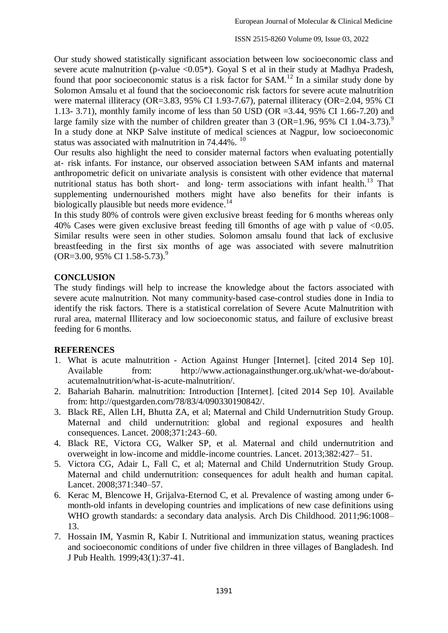Our study showed statistically significant association between low socioeconomic class and severe acute malnutrition (p-value  $\langle 0.05^* \rangle$ ). Goyal S et al in their study at Madhya Pradesh, found that poor socioeconomic status is a risk factor for SAM.<sup>12</sup> In a similar study done by Solomon Amsalu et al found that the socioeconomic risk factors for severe acute malnutrition were maternal illiteracy (OR=3.83, 95% CI 1.93-7.67), paternal illiteracy (OR=2.04, 95% CI 1.13- 3.71), monthly family income of less than 50 USD (OR =3.44, 95% CI 1.66-7.20) and large family size with the number of children greater than 3 (OR=1.96, 95% CI 1.04-3.73).<sup>9</sup> In a study done at NKP Salve institute of medical sciences at Nagpur, low socioeconomic status was associated with malnutrition in 74.44%. <sup>10</sup>

Our results also highlight the need to consider maternal factors when evaluating potentially at‐ risk infants. For instance, our observed association between SAM infants and maternal anthropometric deficit on univariate analysis is consistent with other evidence that maternal nutritional status has both short- and long- term associations with infant health.<sup>13</sup> That supplementing undernourished mothers might have also benefits for their infants is biologically plausible but needs more evidence.<sup>14</sup>

In this study 80% of controls were given exclusive breast feeding for 6 months whereas only 40% Cases were given exclusive breast feeding till 6months of age with p value of <0.05. Similar results were seen in other studies. Solomon amsalu found that lack of exclusive breastfeeding in the first six months of age was associated with severe malnutrition  $(OR=3.00, 95\% \text{ CI } 1.58-5.73).$ <sup>9</sup>

### **CONCLUSION**

The study findings will help to increase the knowledge about the factors associated with severe acute malnutrition. Not many community-based case-control studies done in India to identify the risk factors. There is a statistical correlation of Severe Acute Malnutrition with rural area, maternal Illiteracy and low socioeconomic status, and failure of exclusive breast feeding for 6 months.

#### **REFERENCES**

- 1. What is acute malnutrition Action Against Hunger [Internet]. [cited 2014 Sep 10]. Available from: [http://www.actionagainsthunger.org.uk/what-we-do/about](http://www.actionagainsthunger.org.uk/what-we-do/about-acutemalnutrition/what-is-acute-malnutrition/)[acutemalnutrition/what-is-acute-malnutrition/.](http://www.actionagainsthunger.org.uk/what-we-do/about-acutemalnutrition/what-is-acute-malnutrition/)
- 2. Bahariah Baharin. malnutrition: Introduction [Internet]. [cited 2014 Sep 10]. Available from: [http://questgarden.com/78/83/4/090330190842/.](http://questgarden.com/78/83/4/090330190842/)
- 3. Black RE, Allen LH, Bhutta ZA, et al; Maternal and Child Undernutrition Study Group. Maternal and child undernutrition: global and regional exposures and health consequences. Lancet. 2008;371:243–60.
- 4. Black RE, Victora CG, Walker SP, et al. Maternal and child undernutrition and overweight in low-income and middle-income countries. Lancet. 2013;382:427– 51.
- 5. Victora CG, Adair L, Fall C, et al; Maternal and Child Undernutrition Study Group. Maternal and child undernutrition: consequences for adult health and human capital. Lancet. 2008;371:340–57.
- 6. Kerac M, Blencowe H, Grijalva-Eternod C, et al. Prevalence of wasting among under 6 month-old infants in developing countries and implications of new case definitions using WHO growth standards: a secondary data analysis. Arch Dis Childhood. 2011;96:1008– 13.
- 7. Hossain IM, Yasmin R, Kabir I. Nutritional and immunization status, weaning practices and socioeconomic conditions of under five children in three villages of Bangladesh. Ind J Pub Health. 1999;43(1):37-41.